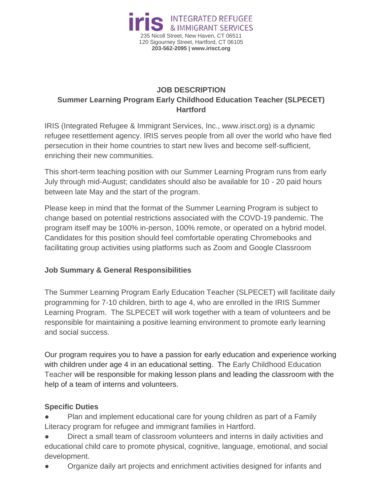

## **JOB DESCRIPTION Summer Learning Program Early Childhood Education Teacher (SLPECET) Hartford**

IRIS (Integrated Refugee & Immigrant Services, Inc., www.irisct.org) is a dynamic refugee resettlement agency. IRIS serves people from all over the world who have fled persecution in their home countries to start new lives and become self-sufficient, enriching their new communities.

This short-term teaching position with our Summer Learning Program runs from early July through mid-August; candidates should also be available for 10 - 20 paid hours between late May and the start of the program.

Please keep in mind that the format of the Summer Learning Program is subject to change based on potential restrictions associated with the COVD-19 pandemic. The program itself may be 100% in-person, 100% remote, or operated on a hybrid model. Candidates for this position should feel comfortable operating Chromebooks and facilitating group activities using platforms such as Zoom and Google Classroom

## **Job Summary & General Responsibilities**

The Summer Learning Program Early Education Teacher (SLPECET) will facilitate daily programming for 7-10 children, birth to age 4, who are enrolled in the IRIS Summer Learning Program. The SLPECET will work together with a team of volunteers and be responsible for maintaining a positive learning environment to promote early learning and social success.

Our program requires you to have a passion for early education and experience working with children under age 4 in an educational setting. The Early Childhood Education Teacher will be responsible for making lesson plans and leading the classroom with the help of a team of interns and volunteers.

## **Specific Duties**

Plan and implement educational care for young children as part of a Family Literacy program for refugee and immigrant families in Hartford.

- Direct a small team of classroom volunteers and interns in daily activities and educational child care to promote physical, cognitive, language, emotional, and social development.
- Organize daily art projects and enrichment activities designed for infants and